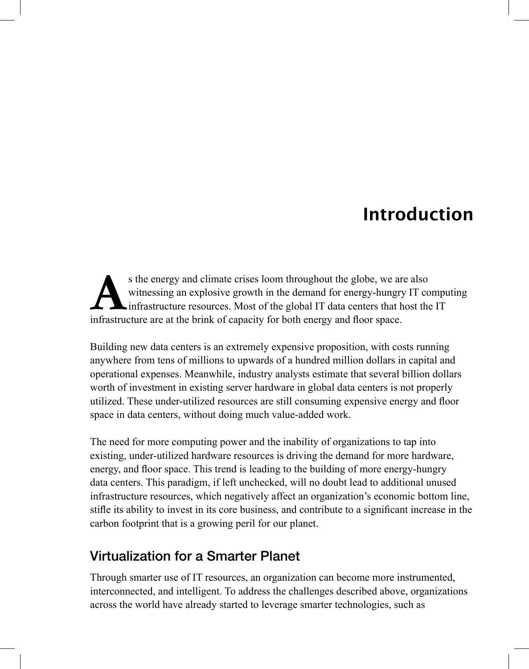## Introduction

s the energy and climate crises loom throughout the globe, we are also witnessing an explosive growth in the demand for energy-hungry IT computing infrastructure resources. Most of the global IT data centers that host the IT infrastructure are at the brink of capacity for both energy and floor space.

 Building new data centers is an extremely expensive proposition, with costs running anywhere from tens of millions to upwards of a hundred million dollars in capital and operational expenses. Meanwhile, industry analysts estimate that several billion dollars worth of investment in existing server hardware in global data centers is not properly utilized. These under-utilized resources are still consuming expensive energy and floor space in data centers, without doing much value-added work.

 The need for more computing power and the inability of organizations to tap into existing, under-utilized hardware resources is driving the demand for more hardware, energy, and floor space. This trend is leading to the building of more energy-hungry data centers. This paradigm, if left unchecked, will no doubt lead to additional unused infrastructure resources, which negatively affect an organization's economic bottom line, stifle its ability to invest in its core business, and contribute to a significant increase in the carbon footprint that is a growing peril for our planet.

## **Virtualization for a Smarter Planet**

 Through smarter use of IT resources, an organization can become more instrumented, interconnected, and intelligent. To address the challenges described above, organizations across the world have already started to leverage smarter technologies, such as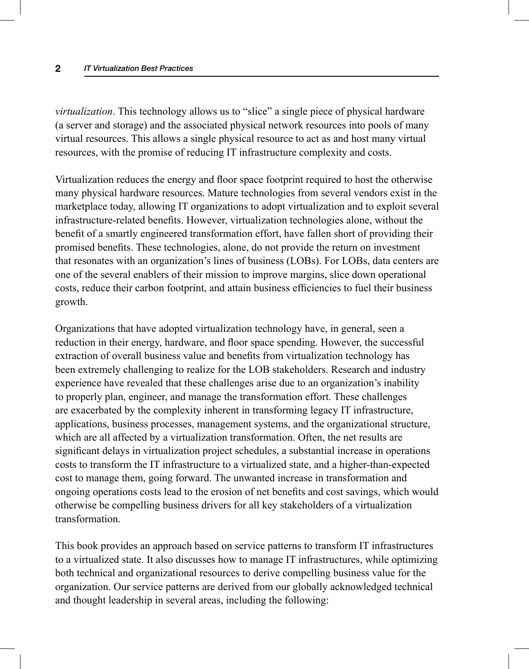#### **2** *IT Virtualization Best Practices*

*virtualization* . This technology allows us to "slice" a single piece of physical hardware (a server and storage) and the associated physical network resources into pools of many virtual resources. This allows a single physical resource to act as and host many virtual resources, with the promise of reducing IT infrastructure complexity and costs.

Virtualization reduces the energy and floor space footprint required to host the otherwise many physical hardware resources. Mature technologies from several vendors exist in the marketplace today, allowing IT organizations to adopt virtualization and to exploit several infrastructure-related benefits. However, virtualization technologies alone, without the benefit of a smartly engineered transformation effort, have fallen short of providing their promised benefits. These technologies, alone, do not provide the return on investment that resonates with an organization's lines of business (LOBs). For LOBs, data centers are one of the several enablers of their mission to improve margins, slice down operational costs, reduce their carbon footprint, and attain business efficiencies to fuel their business growth.

 Organizations that have adopted virtualization technology have, in general, seen a reduction in their energy, hardware, and floor space spending. However, the successful extraction of overall business value and benefits from virtualization technology has been extremely challenging to realize for the LOB stakeholders. Research and industry experience have revealed that these challenges arise due to an organization's inability to properly plan, engineer, and manage the transformation effort. These challenges are exacerbated by the complexity inherent in transforming legacy IT infrastructure, applications, business processes, management systems, and the organizational structure, which are all affected by a virtualization transformation. Often, the net results are significant delays in virtualization project schedules, a substantial increase in operations costs to transform the IT infrastructure to a virtualized state, and a higher-than-expected cost to manage them, going forward. The unwanted increase in transformation and ongoing operations costs lead to the erosion of net benefits and cost savings, which would otherwise be compelling business drivers for all key stakeholders of a virtualization transformation.

 This book provides an approach based on service patterns to transform IT infrastructures to a virtualized state. It also discusses how to manage IT infrastructures, while optimizing both technical and organizational resources to derive compelling business value for the organization. Our service patterns are derived from our globally acknowledged technical and thought leadership in several areas, including the following: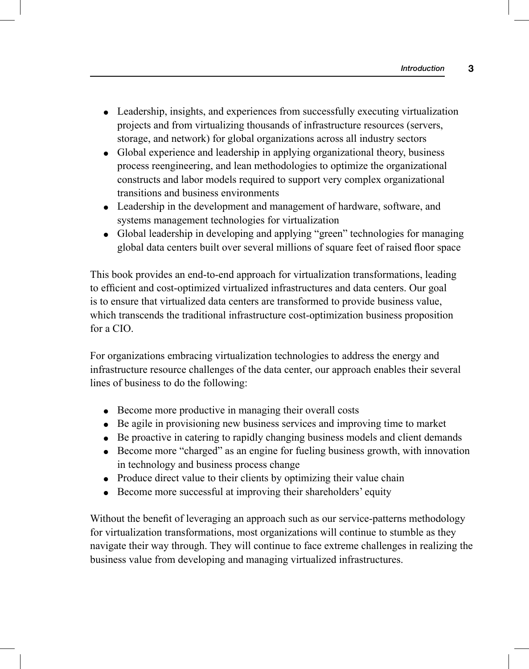- Leadership, insights, and experiences from successfully executing virtualization projects and from virtualizing thousands of infrastructure resources (servers, storage, and network) for global organizations across all industry sectors
- Global experience and leadership in applying organizational theory, business process reengineering, and lean methodologies to optimize the organizational constructs and labor models required to support very complex organizational transitions and business environments
- Leadership in the development and management of hardware, software, and systems management technologies for virtualization
- Global leadership in developing and applying "green" technologies for managing global data centers built over several millions of square feet of raised floor space

 This book provides an end-to-end approach for virtualization transformations, leading to efficient and cost-optimized virtualized infrastructures and data centers. Our goal is to ensure that virtualized data centers are transformed to provide business value, which transcends the traditional infrastructure cost-optimization business proposition for a CIO.

 For organizations embracing virtualization technologies to address the energy and infrastructure resource challenges of the data center, our approach enables their several lines of business to do the following:

- Become more productive in managing their overall costs
- Be agile in provisioning new business services and improving time to market
- Be proactive in catering to rapidly changing business models and client demands
- Become more "charged" as an engine for fueling business growth, with innovation in technology and business process change
- Produce direct value to their clients by optimizing their value chain
- Become more successful at improving their shareholders' equity

Without the benefit of leveraging an approach such as our service-patterns methodology for virtualization transformations, most organizations will continue to stumble as they navigate their way through. They will continue to face extreme challenges in realizing the business value from developing and managing virtualized infrastructures.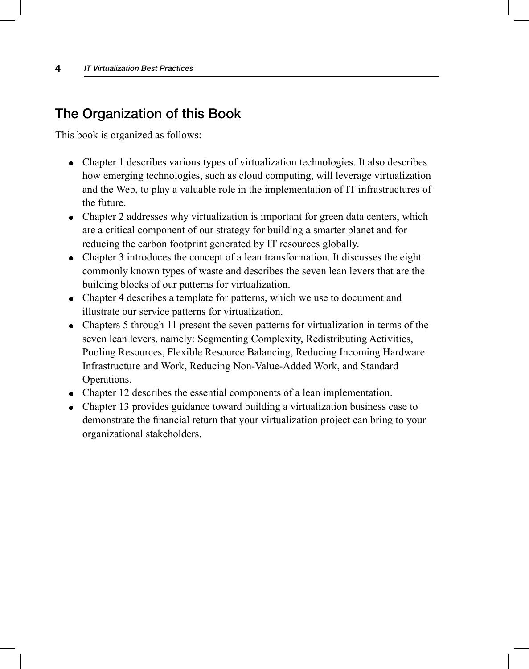## **The Organization of this Book**

This book is organized as follows:

- Chapter 1 describes various types of virtualization technologies. It also describes how emerging technologies, such as cloud computing, will leverage virtualization and the Web, to play a valuable role in the implementation of IT infrastructures of the future.
- Chapter 2 addresses why virtualization is important for green data centers, which are a critical component of our strategy for building a smarter planet and for reducing the carbon footprint generated by IT resources globally.
- Chapter 3 introduces the concept of a lean transformation. It discusses the eight commonly known types of waste and describes the seven lean levers that are the building blocks of our patterns for virtualization.
- Chapter 4 describes a template for patterns, which we use to document and illustrate our service patterns for virtualization.
- Chapters 5 through 11 present the seven patterns for virtualization in terms of the seven lean levers, namely: Segmenting Complexity, Redistributing Activities, Pooling Resources, Flexible Resource Balancing, Reducing Incoming Hardware Infrastructure and Work, Reducing Non-Value-Added Work, and Standard Operations.
- Chapter 12 describes the essential components of a lean implementation.
- Chapter 13 provides guidance toward building a virtualization business case to demonstrate the financial return that your virtualization project can bring to your organizational stakeholders.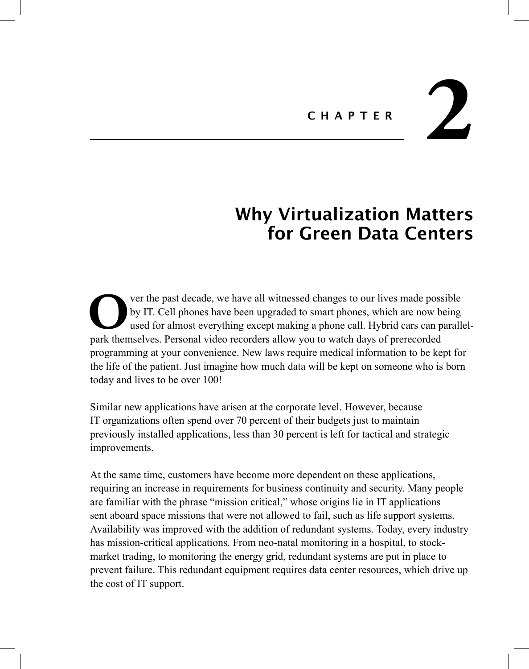# CHAPTER 2

# Why Virtualization Matters for Green Data Centers

**Solution** of the past decade, we have all witnessed changes to our lives made possible by IT. Cell phones have been upgraded to smart phones, which are now being used for almost everything except making a phone call. Hybr by IT. Cell phones have been upgraded to smart phones, which are now being used for almost everything except making a phone call. Hybrid cars can parallelpark themselves. Personal video recorders allow you to watch days of prerecorded programming at your convenience. New laws require medical information to be kept for the life of the patient. Just imagine how much data will be kept on someone who is born today and lives to be over 100!

 Similar new applications have arisen at the corporate level. However, because IT organizations often spend over 70 percent of their budgets just to maintain previously installed applications, less than 30 percent is left for tactical and strategic improvements.

 At the same time, customers have become more dependent on these applications, requiring an increase in requirements for business continuity and security. Many people are familiar with the phrase "mission critical," whose origins lie in IT applications sent aboard space missions that were not allowed to fail, such as life support systems. Availability was improved with the addition of redundant systems. Today, every industry has mission-critical applications. From neo-natal monitoring in a hospital, to stockmarket trading, to monitoring the energy grid, redundant systems are put in place to prevent failure. This redundant equipment requires data center resources, which drive up the cost of IT support.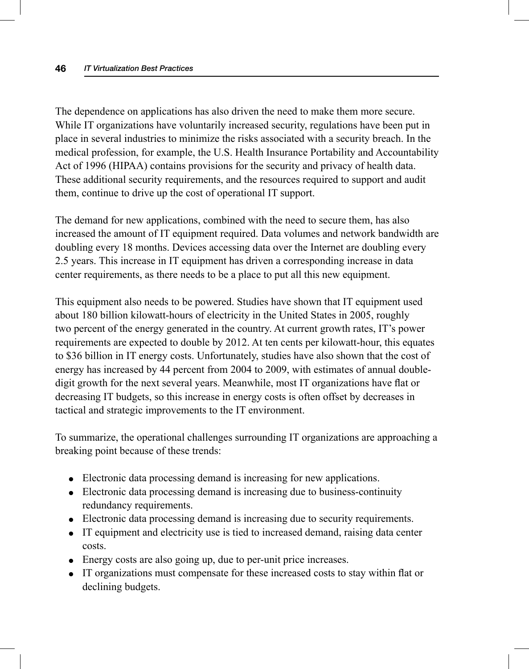The dependence on applications has also driven the need to make them more secure. While IT organizations have voluntarily increased security, regulations have been put in place in several industries to minimize the risks associated with a security breach. In the medical profession, for example, the U.S. Health Insurance Portability and Accountability Act of 1996 (HIPAA) contains provisions for the security and privacy of health data. These additional security requirements, and the resources required to support and audit them, continue to drive up the cost of operational IT support.

 The demand for new applications, combined with the need to secure them, has also increased the amount of IT equipment required. Data volumes and network bandwidth are doubling every 18 months. Devices accessing data over the Internet are doubling every 2.5 years. This increase in IT equipment has driven a corresponding increase in data center requirements, as there needs to be a place to put all this new equipment.

 This equipment also needs to be powered. Studies have shown that IT equipment used about 180 billion kilowatt-hours of electricity in the United States in 2005, roughly two percent of the energy generated in the country. At current growth rates, IT's power requirements are expected to double by 2012. At ten cents per kilowatt-hour, this equates to \$36 billion in IT energy costs. Unfortunately, studies have also shown that the cost of energy has increased by 44 percent from 2004 to 2009, with estimates of annual doubledigit growth for the next several years. Meanwhile, most IT organizations have flat or decreasing IT budgets, so this increase in energy costs is often offset by decreases in tactical and strategic improvements to the IT environment.

 To summarize, the operational challenges surrounding IT organizations are approaching a breaking point because of these trends:

- Electronic data processing demand is increasing for new applications.
- Electronic data processing demand is increasing due to business-continuity redundancy requirements.
- Electronic data processing demand is increasing due to security requirements.
- IT equipment and electricity use is tied to increased demand, raising data center costs.
- Energy costs are also going up, due to per-unit price increases.
- IT organizations must compensate for these increased costs to stay within flat or declining budgets.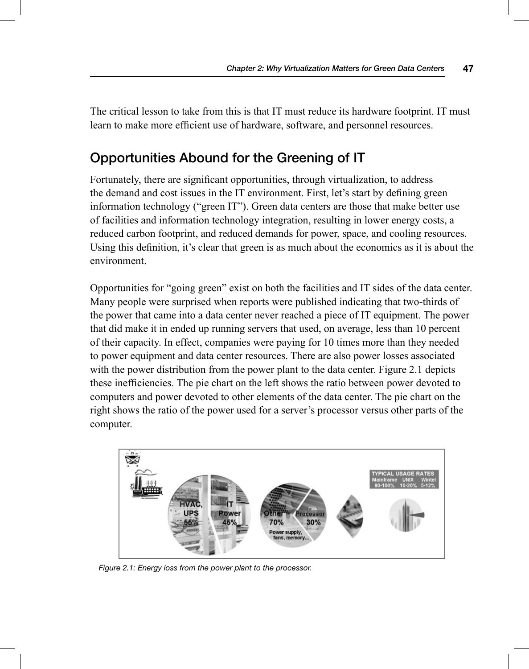The critical lesson to take from this is that IT must reduce its hardware footprint. IT must learn to make more efficient use of hardware, software, and personnel resources.

## **Opportunities Abound for the Greening of IT**

Fortunately, there are significant opportunities, through virtualization, to address the demand and cost issues in the IT environment. First, let's start by defining green information technology ("green IT"). Green data centers are those that make better use of facilities and information technology integration, resulting in lower energy costs, a reduced carbon footprint, and reduced demands for power, space, and cooling resources. Using this definition, it's clear that green is as much about the economics as it is about the environment.

 Opportunities for "going green" exist on both the facilities and IT sides of the data center. Many people were surprised when reports were published indicating that two-thirds of the power that came into a data center never reached a piece of IT equipment. The power that did make it in ended up running servers that used, on average, less than 10 percent of their capacity. In effect, companies were paying for 10 times more than they needed to power equipment and data center resources. There are also power losses associated with the power distribution from the power plant to the data center. Figure 2.1 depicts these inefficiencies. The pie chart on the left shows the ratio between power devoted to computers and power devoted to other elements of the data center. The pie chart on the right shows the ratio of the power used for a server's processor versus other parts of the computer.



 *Figure 2.1: Energy loss from the power plant to the processor.*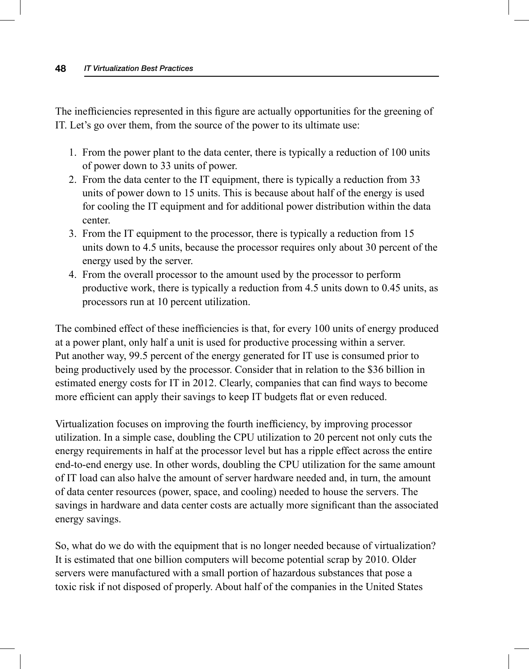The inefficiencies represented in this figure are actually opportunities for the greening of IT. Let's go over them, from the source of the power to its ultimate use:

- 1. From the power plant to the data center, there is typically a reduction of 100 units of power down to 33 units of power.
- 2. From the data center to the IT equipment, there is typically a reduction from 33 units of power down to 15 units. This is because about half of the energy is used for cooling the IT equipment and for additional power distribution within the data center.
- 3. From the IT equipment to the processor, there is typically a reduction from 15 units down to 4.5 units, because the processor requires only about 30 percent of the energy used by the server.
- 4. From the overall processor to the amount used by the processor to perform productive work, there is typically a reduction from 4.5 units down to 0.45 units, as processors run at 10 percent utilization.

The combined effect of these inefficiencies is that, for every 100 units of energy produced at a power plant, only half a unit is used for productive processing within a server. Put another way, 99.5 percent of the energy generated for IT use is consumed prior to being productively used by the processor. Consider that in relation to the \$36 billion in estimated energy costs for IT in 2012. Clearly, companies that can find ways to become more efficient can apply their savings to keep IT budgets flat or even reduced.

Virtualization focuses on improving the fourth inefficiency, by improving processor utilization. In a simple case, doubling the CPU utilization to 20 percent not only cuts the energy requirements in half at the processor level but has a ripple effect across the entire end-to-end energy use. In other words, doubling the CPU utilization for the same amount of IT load can also halve the amount of server hardware needed and, in turn, the amount of data center resources (power, space, and cooling) needed to house the servers. The savings in hardware and data center costs are actually more significant than the associated energy savings.

 So, what do we do with the equipment that is no longer needed because of virtualization? It is estimated that one billion computers will become potential scrap by 2010. Older servers were manufactured with a small portion of hazardous substances that pose a toxic risk if not disposed of properly. About half of the companies in the United States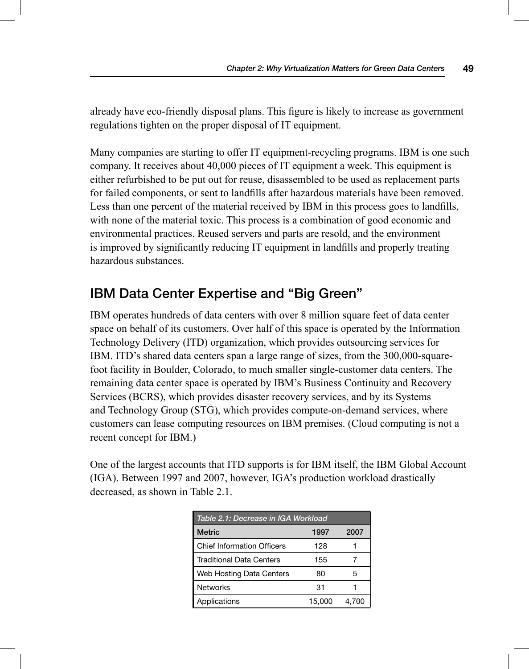already have eco-friendly disposal plans. This figure is likely to increase as government regulations tighten on the proper disposal of IT equipment.

 Many companies are starting to offer IT equipment-recycling programs. IBM is one such company. It receives about 40,000 pieces of IT equipment a week. This equipment is either refurbished to be put out for reuse, disassembled to be used as replacement parts for failed components, or sent to landfills after hazardous materials have been removed. Less than one percent of the material received by IBM in this process goes to landfills, with none of the material toxic. This process is a combination of good economic and environmental practices. Reused servers and parts are resold, and the environment is improved by significantly reducing IT equipment in landfills and properly treating hazardous substances.

## **IBM Data Center Expertise and "Big Green"**

 IBM operates hundreds of data centers with over 8 million square feet of data center space on behalf of its customers. Over half of this space is operated by the Information Technology Delivery (ITD) organization, which provides outsourcing services for IBM. ITD's shared data centers span a large range of sizes, from the 300,000-squarefoot facility in Boulder, Colorado, to much smaller single-customer data centers. The remaining data center space is operated by IBM's Business Continuity and Recovery Services (BCRS), which provides disaster recovery services, and by its Systems and Technology Group (STG), which provides compute-on-demand services, where customers can lease computing resources on IBM premises. (Cloud computing is not a recent concept for IBM.)

 One of the largest accounts that ITD supports is for IBM itself, the IBM Global Account (IGA). Between 1997 and 2007, however, IGA's production workload drastically decreased, as shown in Table 2.1.

| Table 2.1: Decrease in IGA Workload |        |       |
|-------------------------------------|--------|-------|
| <b>Metric</b>                       | 1997   | 2007  |
| <b>Chief Information Officers</b>   | 128    |       |
| Traditional Data Centers            | 155    |       |
| Web Hosting Data Centers            | 80     | 5     |
| <b>Networks</b>                     | 31     |       |
| Applications                        | 15,000 | 4.700 |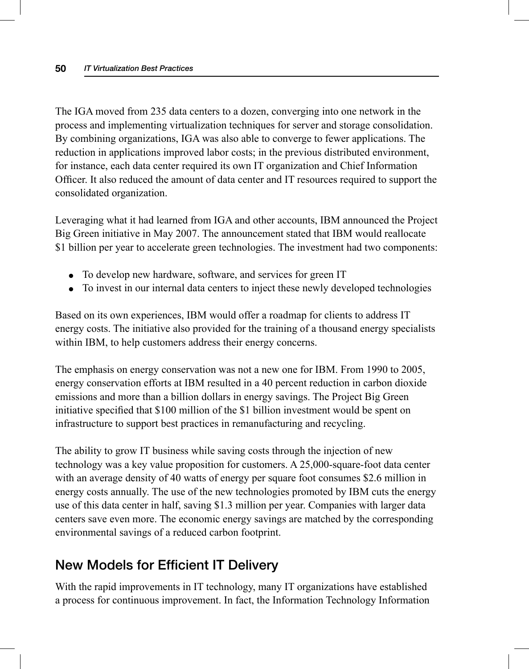The IGA moved from 235 data centers to a dozen, converging into one network in the process and implementing virtualization techniques for server and storage consolidation. By combining organizations, IGA was also able to converge to fewer applications. The reduction in applications improved labor costs; in the previous distributed environment, for instance, each data center required its own IT organization and Chief Information Officer. It also reduced the amount of data center and IT resources required to support the consolidated organization.

 Leveraging what it had learned from IGA and other accounts, IBM announced the Project Big Green initiative in May 2007. The announcement stated that IBM would reallocate \$1 billion per year to accelerate green technologies. The investment had two components:

- To develop new hardware, software, and services for green IT
- To invest in our internal data centers to inject these newly developed technologies

 Based on its own experiences, IBM would offer a roadmap for clients to address IT energy costs. The initiative also provided for the training of a thousand energy specialists within IBM, to help customers address their energy concerns.

 The emphasis on energy conservation was not a new one for IBM. From 1990 to 2005, energy conservation efforts at IBM resulted in a 40 percent reduction in carbon dioxide emissions and more than a billion dollars in energy savings. The Project Big Green initiative specified that \$100 million of the \$1 billion investment would be spent on infrastructure to support best practices in remanufacturing and recycling.

 The ability to grow IT business while saving costs through the injection of new technology was a key value proposition for customers. A 25,000-square-foot data center with an average density of 40 watts of energy per square foot consumes \$2.6 million in energy costs annually. The use of the new technologies promoted by IBM cuts the energy use of this data center in half, saving \$1.3 million per year. Companies with larger data centers save even more. The economic energy savings are matched by the corresponding environmental savings of a reduced carbon footprint.

## **New Models for Efficient IT Delivery**

 With the rapid improvements in IT technology, many IT organizations have established a process for continuous improvement. In fact, the Information Technology Information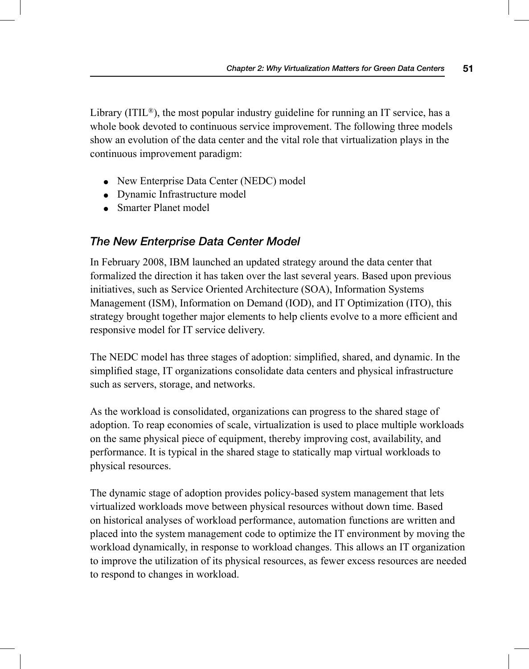Library  $(ITIL<sup>®</sup>)$ , the most popular industry guideline for running an IT service, has a whole book devoted to continuous service improvement. The following three models show an evolution of the data center and the vital role that virtualization plays in the continuous improvement paradigm:

- New Enterprise Data Center (NEDC) model
- Dynamic Infrastructure model
- Smarter Planet model

#### *The New Enterprise Data Center Model*

 In February 2008, IBM launched an updated strategy around the data center that formalized the direction it has taken over the last several years. Based upon previous initiatives, such as Service Oriented Architecture (SOA), Information Systems Management (ISM), Information on Demand (IOD), and IT Optimization (ITO), this strategy brought together major elements to help clients evolve to a more efficient and responsive model for IT service delivery.

The NEDC model has three stages of adoption: simplified, shared, and dynamic. In the simplified stage, IT organizations consolidate data centers and physical infrastructure such as servers, storage, and networks.

 As the workload is consolidated, organizations can progress to the shared stage of adoption. To reap economies of scale, virtualization is used to place multiple workloads on the same physical piece of equipment, thereby improving cost, availability, and performance. It is typical in the shared stage to statically map virtual workloads to physical resources.

 The dynamic stage of adoption provides policy-based system management that lets virtualized workloads move between physical resources without down time. Based on historical analyses of workload performance, automation functions are written and placed into the system management code to optimize the IT environment by moving the workload dynamically, in response to workload changes. This allows an IT organization to improve the utilization of its physical resources, as fewer excess resources are needed to respond to changes in workload.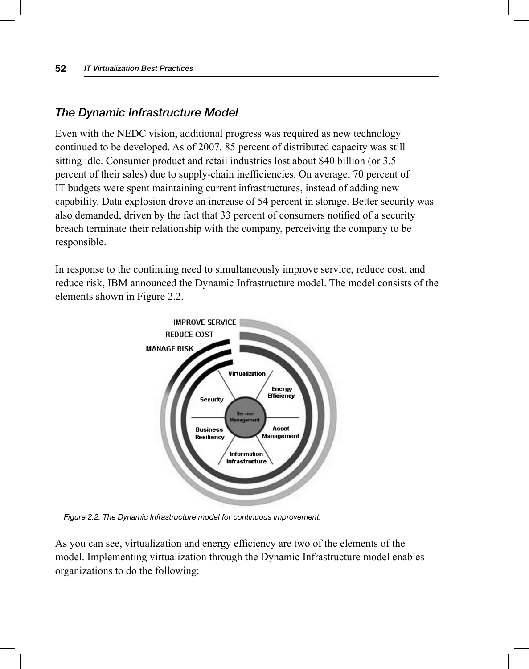#### *The Dynamic Infrastructure Model*

 Even with the NEDC vision, additional progress was required as new technology continued to be developed. As of 2007, 85 percent of distributed capacity was still sitting idle. Consumer product and retail industries lost about \$40 billion (or 3.5 percent of their sales) due to supply-chain inefficiencies. On average, 70 percent of IT budgets were spent maintaining current infrastructures, instead of adding new capability. Data explosion drove an increase of 54 percent in storage. Better security was also demanded, driven by the fact that 33 percent of consumers notified of a security breach terminate their relationship with the company, perceiving the company to be responsible.

 In response to the continuing need to simultaneously improve service, reduce cost, and reduce risk, IBM announced the Dynamic Infrastructure model. The model consists of the elements shown in Figure 2.2.



 *Figure 2.2: The Dynamic Infrastructure model for continuous improvement.* 

As you can see, virtualization and energy efficiency are two of the elements of the model. Implementing virtualization through the Dynamic Infrastructure model enables organizations to do the following: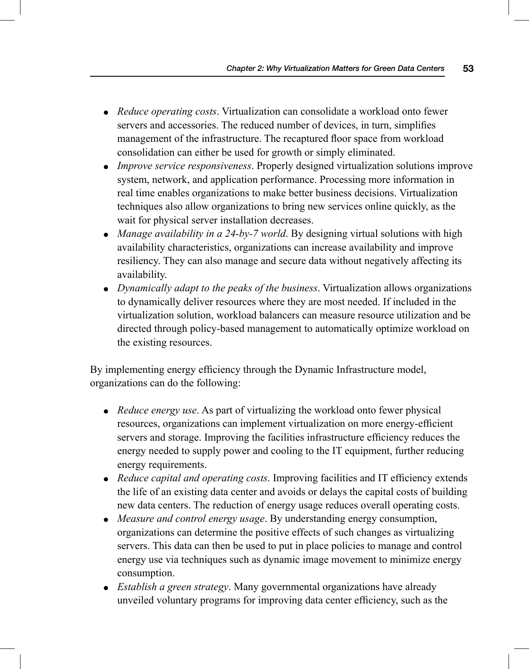- *Reduce operating costs* . Virtualization can consolidate a workload onto fewer servers and accessories. The reduced number of devices, in turn, simplifies management of the infrastructure. The recaptured floor space from workload consolidation can either be used for growth or simply eliminated.
- *Improve service responsiveness* . Properly designed virtualization solutions improve system, network, and application performance. Processing more information in real time enables organizations to make better business decisions. Virtualization techniques also allow organizations to bring new services online quickly, as the wait for physical server installation decreases.
- *Manage availability in a 24-by-7 world*. By designing virtual solutions with high availability characteristics, organizations can increase availability and improve resiliency. They can also manage and secure data without negatively affecting its availability.
- *Dynamically adapt to the peaks of the business* . Virtualization allows organizations to dynamically deliver resources where they are most needed. If included in the virtualization solution, workload balancers can measure resource utilization and be directed through policy-based management to automatically optimize workload on the existing resources.

By implementing energy efficiency through the Dynamic Infrastructure model, organizations can do the following:

- *Reduce energy use*. As part of virtualizing the workload onto fewer physical resources, organizations can implement virtualization on more energy-efficient servers and storage. Improving the facilities infrastructure efficiency reduces the energy needed to supply power and cooling to the IT equipment, further reducing energy requirements.
- *Reduce capital and operating costs*. Improving facilities and IT efficiency extends the life of an existing data center and avoids or delays the capital costs of building new data centers. The reduction of energy usage reduces overall operating costs.
- *Measure and control energy usage* . By understanding energy consumption, organizations can determine the positive effects of such changes as virtualizing servers. This data can then be used to put in place policies to manage and control energy use via techniques such as dynamic image movement to minimize energy consumption.
- *Establish a green strategy*. Many governmental organizations have already unveiled voluntary programs for improving data center efficiency, such as the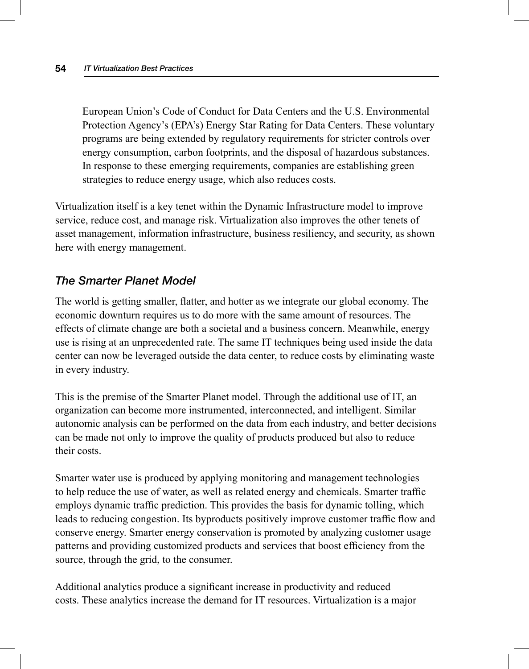European Union's Code of Conduct for Data Centers and the U.S. Environmental Protection Agency's (EPA's) Energy Star Rating for Data Centers. These voluntary programs are being extended by regulatory requirements for stricter controls over energy consumption, carbon footprints, and the disposal of hazardous substances. In response to these emerging requirements, companies are establishing green strategies to reduce energy usage, which also reduces costs.

 Virtualization itself is a key tenet within the Dynamic Infrastructure model to improve service, reduce cost, and manage risk. Virtualization also improves the other tenets of asset management, information infrastructure, business resiliency, and security, as shown here with energy management.

#### *The Smarter Planet Model*

The world is getting smaller, flatter, and hotter as we integrate our global economy. The economic downturn requires us to do more with the same amount of resources. The effects of climate change are both a societal and a business concern. Meanwhile, energy use is rising at an unprecedented rate. The same IT techniques being used inside the data center can now be leveraged outside the data center, to reduce costs by eliminating waste in every industry.

 This is the premise of the Smarter Planet model. Through the additional use of IT, an organization can become more instrumented, interconnected, and intelligent. Similar autonomic analysis can be performed on the data from each industry, and better decisions can be made not only to improve the quality of products produced but also to reduce their costs.

 Smarter water use is produced by applying monitoring and management technologies to help reduce the use of water, as well as related energy and chemicals. Smarter traffic employs dynamic traffic prediction. This provides the basis for dynamic tolling, which leads to reducing congestion. Its byproducts positively improve customer traffic flow and conserve energy. Smarter energy conservation is promoted by analyzing customer usage patterns and providing customized products and services that boost efficiency from the source, through the grid, to the consumer.

Additional analytics produce a significant increase in productivity and reduced costs. These analytics increase the demand for IT resources. Virtualization is a major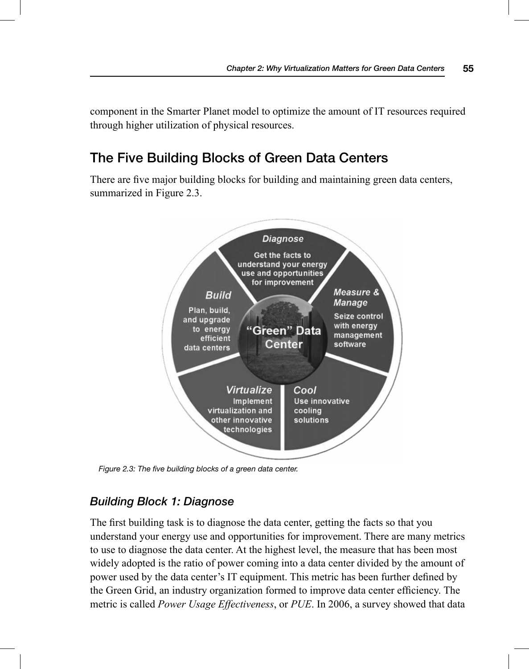component in the Smarter Planet model to optimize the amount of IT resources required through higher utilization of physical resources.

## **The Five Building Blocks of Green Data Centers**

There are five major building blocks for building and maintaining green data centers, summarized in Figure 2.3.



*Figure 2.3: The five building blocks of a green data center.* 

#### *Building Block 1: Diagnose*

The first building task is to diagnose the data center, getting the facts so that you understand your energy use and opportunities for improvement. There are many metrics to use to diagnose the data center. At the highest level, the measure that has been most widely adopted is the ratio of power coming into a data center divided by the amount of power used by the data center's IT equipment. This metric has been further defined by the Green Grid, an industry organization formed to improve data center efficiency. The metric is called *Power Usage Effectiveness* , or *PUE* . In 2006, a survey showed that data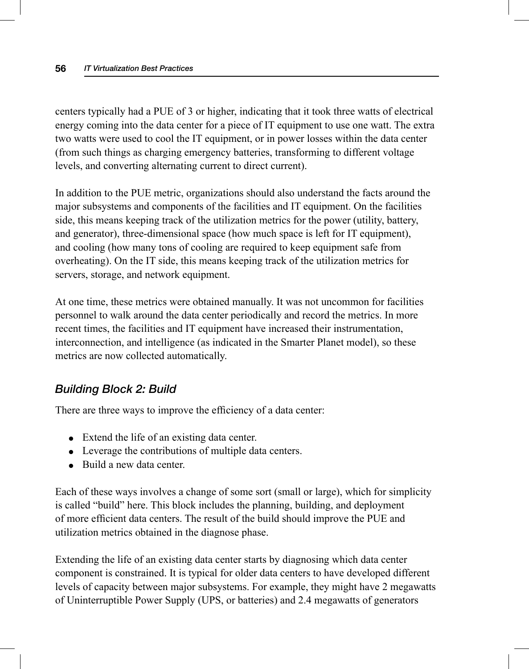centers typically had a PUE of 3 or higher, indicating that it took three watts of electrical energy coming into the data center for a piece of IT equipment to use one watt. The extra two watts were used to cool the IT equipment, or in power losses within the data center (from such things as charging emergency batteries, transforming to different voltage levels, and converting alternating current to direct current).

 In addition to the PUE metric, organizations should also understand the facts around the major subsystems and components of the facilities and IT equipment. On the facilities side, this means keeping track of the utilization metrics for the power (utility, battery, and generator), three-dimensional space (how much space is left for IT equipment), and cooling (how many tons of cooling are required to keep equipment safe from overheating). On the IT side, this means keeping track of the utilization metrics for servers, storage, and network equipment.

 At one time, these metrics were obtained manually. It was not uncommon for facilities personnel to walk around the data center periodically and record the metrics. In more recent times, the facilities and IT equipment have increased their instrumentation, interconnection, and intelligence (as indicated in the Smarter Planet model), so these metrics are now collected automatically.

#### *Building Block 2: Build*

There are three ways to improve the efficiency of a data center:

- Extend the life of an existing data center.
- Leverage the contributions of multiple data centers.
- Build a new data center.

 Each of these ways involves a change of some sort (small or large), which for simplicity is called "build" here. This block includes the planning, building, and deployment of more efficient data centers. The result of the build should improve the PUE and utilization metrics obtained in the diagnose phase.

 Extending the life of an existing data center starts by diagnosing which data center component is constrained. It is typical for older data centers to have developed different levels of capacity between major subsystems. For example, they might have 2 megawatts of Uninterruptible Power Supply (UPS, or batteries) and 2.4 megawatts of generators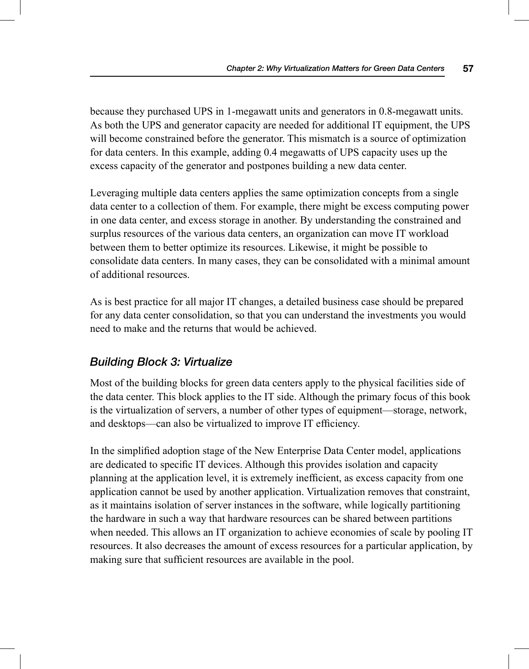because they purchased UPS in 1-megawatt units and generators in 0.8-megawatt units. As both the UPS and generator capacity are needed for additional IT equipment, the UPS will become constrained before the generator. This mismatch is a source of optimization for data centers. In this example, adding 0.4 megawatts of UPS capacity uses up the excess capacity of the generator and postpones building a new data center.

 Leveraging multiple data centers applies the same optimization concepts from a single data center to a collection of them. For example, there might be excess computing power in one data center, and excess storage in another. By understanding the constrained and surplus resources of the various data centers, an organization can move IT workload between them to better optimize its resources. Likewise, it might be possible to consolidate data centers. In many cases, they can be consolidated with a minimal amount of additional resources.

 As is best practice for all major IT changes, a detailed business case should be prepared for any data center consolidation, so that you can understand the investments you would need to make and the returns that would be achieved.

#### *Building Block 3: Virtualize*

 Most of the building blocks for green data centers apply to the physical facilities side of the data center. This block applies to the IT side. Although the primary focus of this book is the virtualization of servers, a number of other types of equipment—storage, network, and desktops—can also be virtualized to improve IT efficiency.

In the simplified adoption stage of the New Enterprise Data Center model, applications are dedicated to specific IT devices. Although this provides isolation and capacity planning at the application level, it is extremely inefficient, as excess capacity from one application cannot be used by another application. Virtualization removes that constraint, as it maintains isolation of server instances in the software, while logically partitioning the hardware in such a way that hardware resources can be shared between partitions when needed. This allows an IT organization to achieve economies of scale by pooling IT resources. It also decreases the amount of excess resources for a particular application, by making sure that sufficient resources are available in the pool.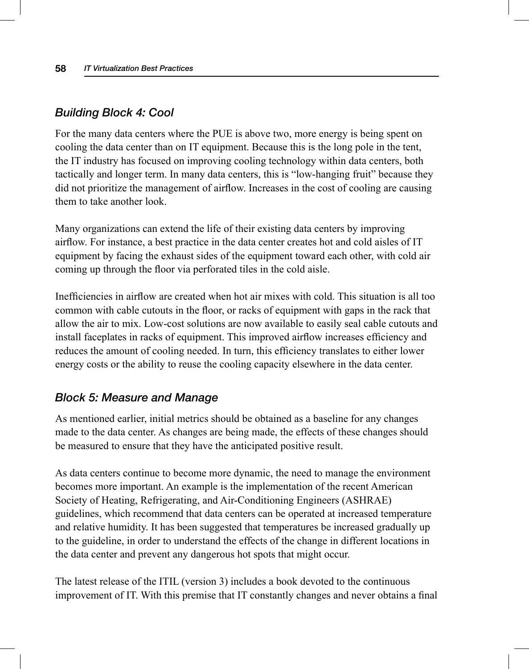#### *Building Block 4: Cool*

 For the many data centers where the PUE is above two, more energy is being spent on cooling the data center than on IT equipment. Because this is the long pole in the tent, the IT industry has focused on improving cooling technology within data centers, both tactically and longer term. In many data centers, this is "low-hanging fruit" because they did not prioritize the management of airflow. Increases in the cost of cooling are causing them to take another look.

 Many organizations can extend the life of their existing data centers by improving airflow. For instance, a best practice in the data center creates hot and cold aisles of IT equipment by facing the exhaust sides of the equipment toward each other, with cold air coming up through the floor via perforated tiles in the cold aisle.

Inefficiencies in airflow are created when hot air mixes with cold. This situation is all too common with cable cutouts in the floor, or racks of equipment with gaps in the rack that allow the air to mix. Low-cost solutions are now available to easily seal cable cutouts and install faceplates in racks of equipment. This improved airflow increases efficiency and reduces the amount of cooling needed. In turn, this efficiency translates to either lower energy costs or the ability to reuse the cooling capacity elsewhere in the data center.

#### *Block 5: Measure and Manage*

 As mentioned earlier, initial metrics should be obtained as a baseline for any changes made to the data center. As changes are being made, the effects of these changes should be measured to ensure that they have the anticipated positive result.

 As data centers continue to become more dynamic, the need to manage the environment becomes more important. An example is the implementation of the recent American Society of Heating, Refrigerating, and Air-Conditioning Engineers (ASHRAE) guidelines, which recommend that data centers can be operated at increased temperature and relative humidity. It has been suggested that temperatures be increased gradually up to the guideline, in order to understand the effects of the change in different locations in the data center and prevent any dangerous hot spots that might occur.

 The latest release of the ITIL (version 3) includes a book devoted to the continuous improvement of IT. With this premise that IT constantly changes and never obtains a final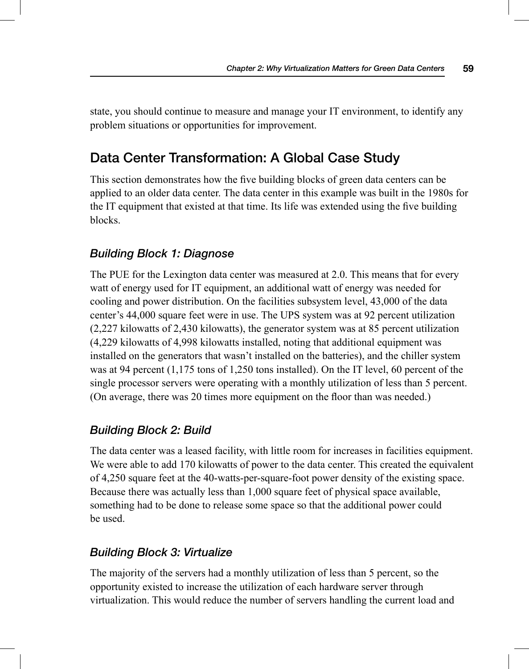state, you should continue to measure and manage your IT environment, to identify any problem situations or opportunities for improvement.

## **Data Center Transformation: A Global Case Study**

This section demonstrates how the five building blocks of green data centers can be applied to an older data center. The data center in this example was built in the 1980s for the IT equipment that existed at that time. Its life was extended using the five building blocks.

#### *Building Block 1: Diagnose*

 The PUE for the Lexington data center was measured at 2.0. This means that for every watt of energy used for IT equipment, an additional watt of energy was needed for cooling and power distribution. On the facilities subsystem level, 43,000 of the data center's 44,000 square feet were in use. The UPS system was at 92 percent utilization (2,227 kilowatts of 2,430 kilowatts), the generator system was at 85 percent utilization (4,229 kilowatts of 4,998 kilowatts installed, noting that additional equipment was installed on the generators that wasn't installed on the batteries), and the chiller system was at 94 percent (1,175 tons of 1,250 tons installed). On the IT level, 60 percent of the single processor servers were operating with a monthly utilization of less than 5 percent. (On average, there was 20 times more equipment on the floor than was needed.)

#### *Building Block 2: Build*

 The data center was a leased facility, with little room for increases in facilities equipment. We were able to add 170 kilowatts of power to the data center. This created the equivalent of 4,250 square feet at the 40-watts-per-square-foot power density of the existing space. Because there was actually less than 1,000 square feet of physical space available, something had to be done to release some space so that the additional power could be used.

#### *Building Block 3: Virtualize*

 The majority of the servers had a monthly utilization of less than 5 percent, so the opportunity existed to increase the utilization of each hardware server through virtualization. This would reduce the number of servers handling the current load and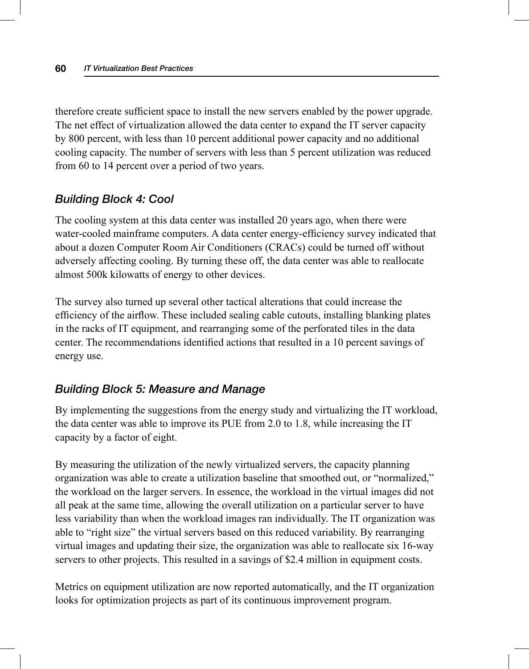therefore create sufficient space to install the new servers enabled by the power upgrade. The net effect of virtualization allowed the data center to expand the IT server capacity by 800 percent, with less than 10 percent additional power capacity and no additional cooling capacity. The number of servers with less than 5 percent utilization was reduced from 60 to 14 percent over a period of two years.

#### *Building Block 4: Cool*

 The cooling system at this data center was installed 20 years ago, when there were water-cooled mainframe computers. A data center energy-efficiency survey indicated that about a dozen Computer Room Air Conditioners (CRACs) could be turned off without adversely affecting cooling. By turning these off, the data center was able to reallocate almost 500k kilowatts of energy to other devices.

 The survey also turned up several other tactical alterations that could increase the efficiency of the airflow. These included sealing cable cutouts, installing blanking plates in the racks of IT equipment, and rearranging some of the perforated tiles in the data center. The recommendations identified actions that resulted in a 10 percent savings of energy use.

#### *Building Block 5: Measure and Manage*

 By implementing the suggestions from the energy study and virtualizing the IT workload, the data center was able to improve its PUE from 2.0 to 1.8, while increasing the IT capacity by a factor of eight.

 By measuring the utilization of the newly virtualized servers, the capacity planning organization was able to create a utilization baseline that smoothed out, or "normalized," the workload on the larger servers. In essence, the workload in the virtual images did not all peak at the same time, allowing the overall utilization on a particular server to have less variability than when the workload images ran individually. The IT organization was able to "right size" the virtual servers based on this reduced variability. By rearranging virtual images and updating their size, the organization was able to reallocate six 16-way servers to other projects. This resulted in a savings of \$2.4 million in equipment costs.

 Metrics on equipment utilization are now reported automatically, and the IT organization looks for optimization projects as part of its continuous improvement program.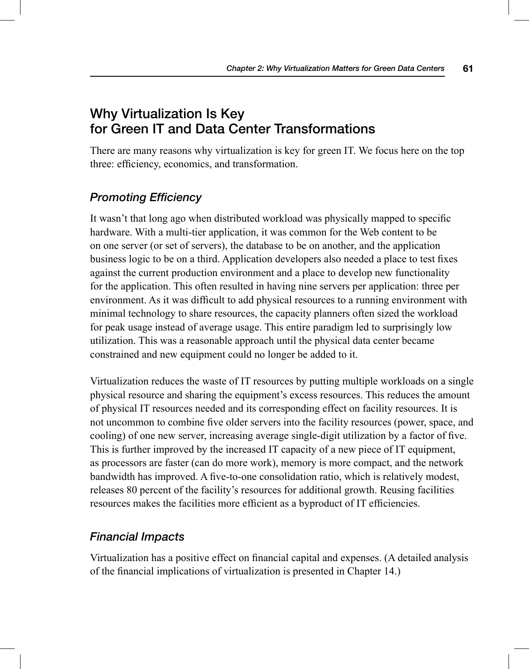## **Why Virtualization Is Key for Green IT and Data Center Transformations**

 There are many reasons why virtualization is key for green IT. We focus here on the top three: efficiency, economics, and transformation.

#### *Promoting Efficiency*

It wasn't that long ago when distributed workload was physically mapped to specific hardware. With a multi-tier application, it was common for the Web content to be on one server (or set of servers), the database to be on another, and the application business logic to be on a third. Application developers also needed a place to test fixes against the current production environment and a place to develop new functionality for the application. This often resulted in having nine servers per application: three per environment. As it was difficult to add physical resources to a running environment with minimal technology to share resources, the capacity planners often sized the workload for peak usage instead of average usage. This entire paradigm led to surprisingly low utilization. This was a reasonable approach until the physical data center became constrained and new equipment could no longer be added to it.

 Virtualization reduces the waste of IT resources by putting multiple workloads on a single physical resource and sharing the equipment's excess resources. This reduces the amount of physical IT resources needed and its corresponding effect on facility resources. It is not uncommon to combine five older servers into the facility resources (power, space, and cooling) of one new server, increasing average single-digit utilization by a factor of five. This is further improved by the increased IT capacity of a new piece of IT equipment, as processors are faster (can do more work), memory is more compact, and the network bandwidth has improved. A five-to-one consolidation ratio, which is relatively modest, releases 80 percent of the facility's resources for additional growth. Reusing facilities resources makes the facilities more efficient as a byproduct of IT efficiencies.

#### *Financial Impacts*

Virtualization has a positive effect on financial capital and expenses. (A detailed analysis of the financial implications of virtualization is presented in Chapter 14.)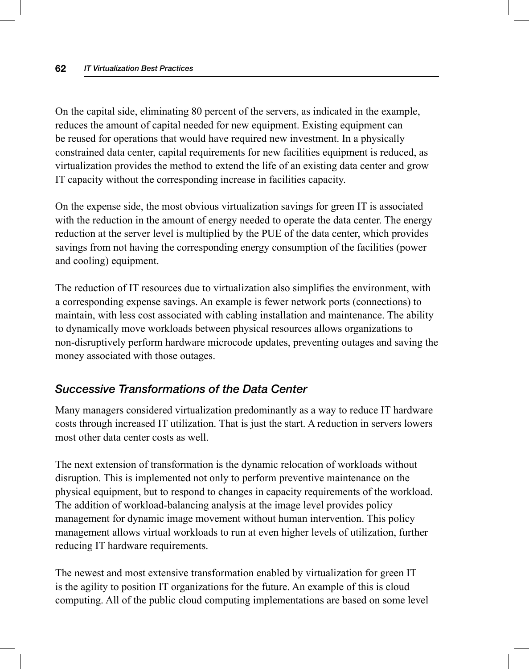On the capital side, eliminating 80 percent of the servers, as indicated in the example, reduces the amount of capital needed for new equipment. Existing equipment can be reused for operations that would have required new investment. In a physically constrained data center, capital requirements for new facilities equipment is reduced, as virtualization provides the method to extend the life of an existing data center and grow IT capacity without the corresponding increase in facilities capacity.

 On the expense side, the most obvious virtualization savings for green IT is associated with the reduction in the amount of energy needed to operate the data center. The energy reduction at the server level is multiplied by the PUE of the data center, which provides savings from not having the corresponding energy consumption of the facilities (power and cooling) equipment.

The reduction of IT resources due to virtualization also simplifies the environment, with a corresponding expense savings. An example is fewer network ports (connections) to maintain, with less cost associated with cabling installation and maintenance. The ability to dynamically move workloads between physical resources allows organizations to non-disruptively perform hardware microcode updates, preventing outages and saving the money associated with those outages.

#### *Successive Transformations of the Data Center*

 Many managers considered virtualization predominantly as a way to reduce IT hardware costs through increased IT utilization. That is just the start. A reduction in servers lowers most other data center costs as well.

 The next extension of transformation is the dynamic relocation of workloads without disruption. This is implemented not only to perform preventive maintenance on the physical equipment, but to respond to changes in capacity requirements of the workload. The addition of workload-balancing analysis at the image level provides policy management for dynamic image movement without human intervention. This policy management allows virtual workloads to run at even higher levels of utilization, further reducing IT hardware requirements.

 The newest and most extensive transformation enabled by virtualization for green IT is the agility to position IT organizations for the future. An example of this is cloud computing. All of the public cloud computing implementations are based on some level